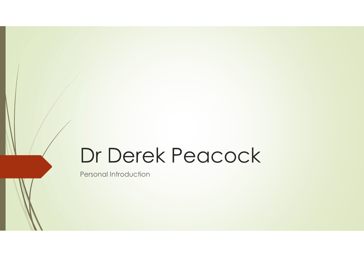### Dr Derek Peacock

Personal Introduction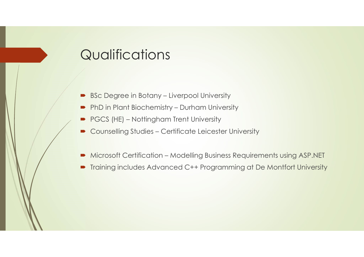# **Qualifications** Qualifications<br>
• BSc Degree in Botany – Liverpool University<br>
• PhD in Plant Biochemistry – Durham University<br>
• PGCS (HE) – Nottingham Trent University

- 
- 
- 
- QUalifications<br>
 BSc Degree in Botany Liverpool University<br>
 PhD in Plant Biochemistry Durham University<br>
 PGCS (HE) Nottingham Trent University<br>
 Counselling Studies Certificate Leicester University Qualifications<br>
• BSc Degree in Botany – Liverpool University<br>
• PhD in Plant Biochemistry – Durham University<br>
• PGCS (HE) – Nottingham Trent University<br>
• Counselling Studies – Certificate Leicester University
- QUalifications<br>
 BSc Degree in Botany Liverpool University<br>
 PhD in Plant Biochemistry Durham University<br>
 Counselling Studies Certificate Leicester University<br>
 Microsoft Certification Modelling Business Requi
- <table>\n<tbody>\n<tr>\n<th>Qualifications</th>\n</tr>\n<tr>\n<td>— BSC Degree in Botany Liverpool University</td>\n</tr>\n<tr>\n<td>— PhD in Plant Biochemistry Durham University</td>\n</tr>\n<tr>\n<td>— PGCS (HE) Nottingham Trent University</td>\n</tr>\n<tr>\n<td>— Counselling Studies Cerfficate Leicester University</td>\n</tr>\n<tr>\n<td>— Microsoft Cerffication Modelling Business Requirements using ASP.NET</td>\n</tr>\n<tr>\n<td>— Training includes Advanced C++ Programming at De Monffort University</td>\n</tr>\n</tbody>\n</table> Training includes Advanced C++ Programming at De Montfort University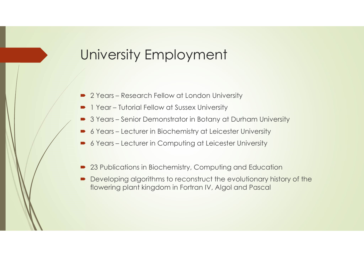### University Employment University Employment<br>
2 Years – Research Fellow at London University<br>
2 Years – Research Fellow at Sussex University<br>
2 Years – Senior Demonstrator in Botany at Durham University University Employment<br>
- 2 Years – Research Fellow at London University<br>
- 1 Year – Tutorial Fellow at Sussex University<br>
- 3 Years – Senior Demonstrator in Botany at Durham University<br>
- 6 Years – Lecturer in Biochemistry University Employment<br>
• 2 Years – Research Fellow at London University<br>
• 1 Year – Tutorial Fellow at Sussex University<br>
• 3 Years – Senior Demonstrator in Botany at Durham University<br>
• 6 Years – Lecturer in Biochemistry University Employment<br>
- 2 Years – Research Fellow at London University<br>
- 1 Year – Tutorial Fellow at Sussex University<br>
- 3 Years – Senior Demonstrator in Botany at Durham University<br>
- 6 Years – Lecturer in Biochemistry University Employment<br>
• 2 Years – Research Fellow at London University<br>
• 1 Year – Tutorial Fellow at Sussex University<br>
• 3 Years – Senior Demonstrator in Botany at Durham University<br>
• 6 Years – Lecturer in Biochemistry

- 
- 
- 
- 
- 
- 23 Publications in Biochemistry, Computing and Education
- Developing algorithms to reconstruct the evolutionary history of the flowering plant kingdom in Fortran IV, Algol and Pascal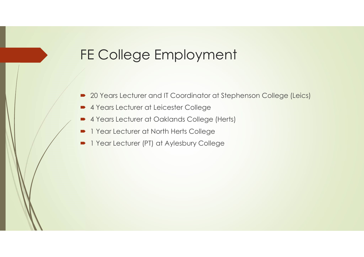#### FE College Employment

- 20 Years Lecturer and IT Coordinator at Stephenson College (Leics)
- 4 Years Lecturer at Leicester College
- 4 Years Lecturer at Oaklands College (Herts)
- 1 Year Lecturer at North Herts College
- 1 Year Lecturer (PT) at Aylesbury College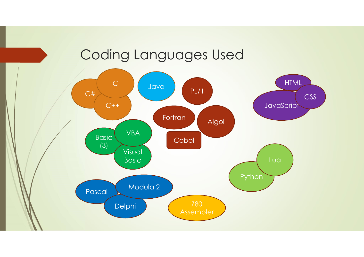#### Coding Languages Used

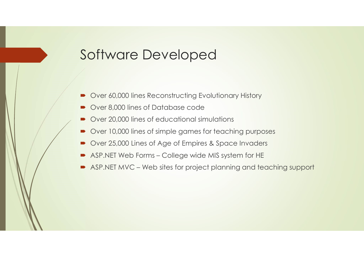#### Software Developed

- Over 60,000 lines Reconstructing Evolutionary History
- Over 8,000 lines of Database code
- Over 20,000 lines of educational simulations
- Over 10,000 lines of simple games for teaching purposes
- Over 25,000 Lines of Age of Empires & Space Invaders
- 
- Software Developed<br>
 Over 60,000 lines Reconstructing Evolutionary History<br>
 Over 8,000 lines of Database code<br>
 Over 20,000 lines of educational simulations<br>
 Over 10,000 lines of simple games for teaching purposes<br>
 → Over 60,000 lines Reconstructing Evolutionary History<br>
→ Over 8,000 lines of Database code<br>
→ Over 20,000 lines of educational simulations<br>
→ Over 10,000 lines of educational simulations<br>
→ Over 25,000 Lines of Age of E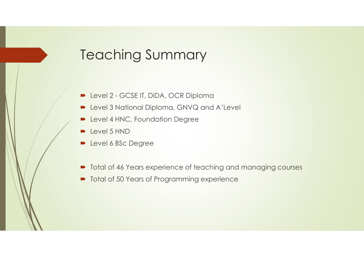# Teaching Summary Teaching Summary<br>
- Level 2 - GCSE IT, DiDA, OCR Diploma<br>
- Level 3 National Diploma, GNVQ and A'Level<br>
- Level 4 HNC, Foundation Degree

- 
- **D** Level 3 National Diploma, GNVQ and A'Level
- **Deal 4 HNC, Foundation Degree**
- $\rightarrow$  Level 5 HND
- **Level 6 BSc Degree**
- $\blacksquare$  Total of 46 Years experience of teaching and managing courses
- $\blacksquare$  Total of 50 Years of Programming experience